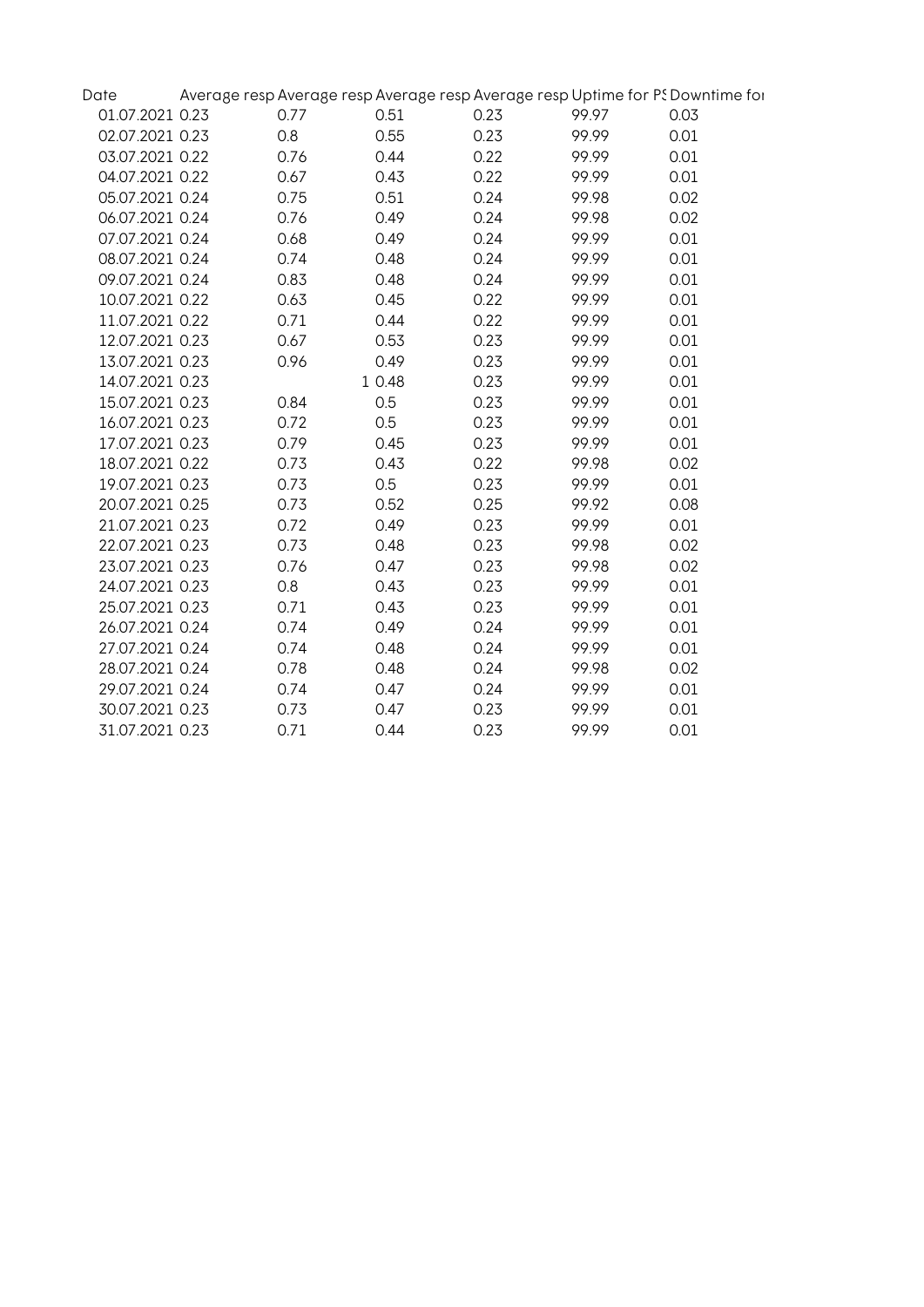| Date            |      |        |      |       | Average resp Average resp Average resp Average resp Uptime for PS Downtime for |
|-----------------|------|--------|------|-------|--------------------------------------------------------------------------------|
| 01.07.2021 0.23 | 0.77 | 0.51   | 0.23 | 99.97 | 0.03                                                                           |
| 02.07.2021 0.23 | 0.8  | 0.55   | 0.23 | 99.99 | 0.01                                                                           |
| 03.07.2021 0.22 | 0.76 | 0.44   | 0.22 | 99.99 | 0.01                                                                           |
| 04.07.2021 0.22 | 0.67 | 0.43   | 0.22 | 99.99 | 0.01                                                                           |
| 05.07.2021 0.24 | 0.75 | 0.51   | 0.24 | 99.98 | 0.02                                                                           |
| 06.07.2021 0.24 | 0.76 | 0.49   | 0.24 | 99.98 | 0.02                                                                           |
| 07.07.2021 0.24 | 0.68 | 0.49   | 0.24 | 99.99 | 0.01                                                                           |
| 08.07.2021 0.24 | 0.74 | 0.48   | 0.24 | 99.99 | 0.01                                                                           |
| 09.07.2021 0.24 | 0.83 | 0.48   | 0.24 | 99.99 | 0.01                                                                           |
| 10.07.2021 0.22 | 0.63 | 0.45   | 0.22 | 99.99 | 0.01                                                                           |
| 11.07.2021 0.22 | 0.71 | 0.44   | 0.22 | 99.99 | 0.01                                                                           |
| 12.07.2021 0.23 | 0.67 | 0.53   | 0.23 | 99.99 | 0.01                                                                           |
| 13.07.2021 0.23 | 0.96 | 0.49   | 0.23 | 99.99 | 0.01                                                                           |
| 14.07.2021 0.23 |      | 1 0.48 | 0.23 | 99.99 | 0.01                                                                           |
| 15.07.2021 0.23 | 0.84 | 0.5    | 0.23 | 99.99 | 0.01                                                                           |
| 16.07.2021 0.23 | 0.72 | 0.5    | 0.23 | 99.99 | 0.01                                                                           |
| 17.07.2021 0.23 | 0.79 | 0.45   | 0.23 | 99.99 | 0.01                                                                           |
| 18.07.2021 0.22 | 0.73 | 0.43   | 0.22 | 99.98 | 0.02                                                                           |
| 19.07.2021 0.23 | 0.73 | 0.5    | 0.23 | 99.99 | 0.01                                                                           |
| 20.07.2021 0.25 | 0.73 | 0.52   | 0.25 | 99.92 | 0.08                                                                           |
| 21.07.2021 0.23 | 0.72 | 0.49   | 0.23 | 99.99 | 0.01                                                                           |
| 22.07.2021 0.23 | 0.73 | 0.48   | 0.23 | 99.98 | 0.02                                                                           |
| 23.07.2021 0.23 | 0.76 | 0.47   | 0.23 | 99.98 | 0.02                                                                           |
| 24.07.2021 0.23 | 0.8  | 0.43   | 0.23 | 99.99 | 0.01                                                                           |
| 25.07.2021 0.23 | 0.71 | 0.43   | 0.23 | 99.99 | 0.01                                                                           |
| 26.07.2021 0.24 | 0.74 | 0.49   | 0.24 | 99.99 | 0.01                                                                           |
| 27.07.2021 0.24 | 0.74 | 0.48   | 0.24 | 99.99 | 0.01                                                                           |
| 28.07.2021 0.24 | 0.78 | 0.48   | 0.24 | 99.98 | 0.02                                                                           |
| 29.07.2021 0.24 | 0.74 | 0.47   | 0.24 | 99.99 | 0.01                                                                           |
| 30.07.2021 0.23 | 0.73 | 0.47   | 0.23 | 99.99 | 0.01                                                                           |
| 31.07.2021 0.23 | 0.71 | 0.44   | 0.23 | 99.99 | 0.01                                                                           |